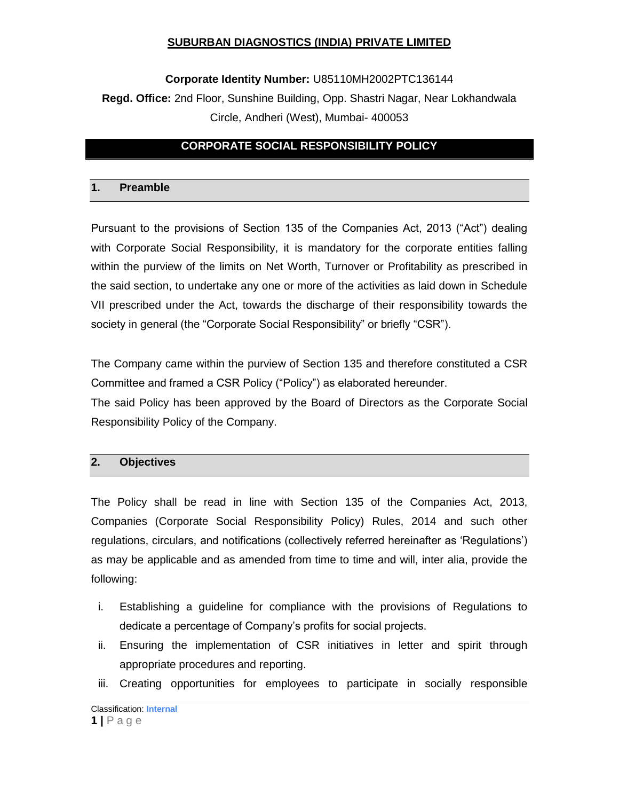## **Corporate Identity Number:** U85110MH2002PTC136144

# **Regd. Office:** 2nd Floor, Sunshine Building, Opp. Shastri Nagar, Near Lokhandwala Circle, Andheri (West), Mumbai- 400053

# **CORPORATE SOCIAL RESPONSIBILITY POLICY**

## **1. Preamble**

Pursuant to the provisions of Section 135 of the Companies Act, 2013 ("Act") dealing with Corporate Social Responsibility, it is mandatory for the corporate entities falling within the purview of the limits on Net Worth, Turnover or Profitability as prescribed in the said section, to undertake any one or more of the activities as laid down in Schedule VII prescribed under the Act, towards the discharge of their responsibility towards the society in general (the "Corporate Social Responsibility" or briefly "CSR").

The Company came within the purview of Section 135 and therefore constituted a CSR Committee and framed a CSR Policy ("Policy") as elaborated hereunder.

The said Policy has been approved by the Board of Directors as the Corporate Social Responsibility Policy of the Company.

#### **2. Objectives**

The Policy shall be read in line with Section 135 of the Companies Act, 2013, Companies (Corporate Social Responsibility Policy) Rules, 2014 and such other regulations, circulars, and notifications (collectively referred hereinafter as "Regulations") as may be applicable and as amended from time to time and will, inter alia, provide the following:

- i. Establishing a guideline for compliance with the provisions of Regulations to dedicate a percentage of Company"s profits for social projects.
- ii. Ensuring the implementation of CSR initiatives in letter and spirit through appropriate procedures and reporting.
- iii. Creating opportunities for employees to participate in socially responsible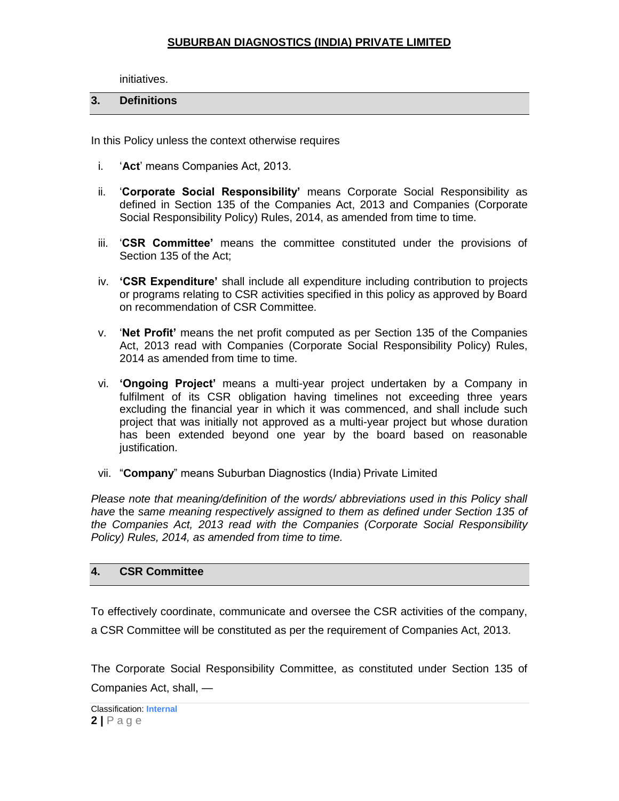initiatives.

## **3. Definitions**

In this Policy unless the context otherwise requires

- i. "**Act**" means Companies Act, 2013.
- ii. "**Corporate Social Responsibility'** means Corporate Social Responsibility as defined in Section 135 of the Companies Act, 2013 and Companies (Corporate Social Responsibility Policy) Rules, 2014, as amended from time to time.
- iii. "**CSR Committee'** means the committee constituted under the provisions of Section 135 of the Act;
- iv. **'CSR Expenditure'** shall include all expenditure including contribution to projects or programs relating to CSR activities specified in this policy as approved by Board on recommendation of CSR Committee.
- v. "**Net Profit'** means the net profit computed as per Section 135 of the Companies Act, 2013 read with Companies (Corporate Social Responsibility Policy) Rules, 2014 as amended from time to time.
- vi. **'Ongoing Project'** means a multi-year project undertaken by a Company in fulfilment of its CSR obligation having timelines not exceeding three years excluding the financial year in which it was commenced, and shall include such project that was initially not approved as a multi-year project but whose duration has been extended beyond one year by the board based on reasonable justification.
- vii. "**Company**" means Suburban Diagnostics (India) Private Limited

*Please note that meaning/definition of the words/ abbreviations used in this Policy shall have* the *same meaning respectively assigned to them as defined under Section 135 of the Companies Act, 2013 read with the Companies (Corporate Social Responsibility Policy) Rules, 2014, as amended from time to time.*

## **4. CSR Committee**

To effectively coordinate, communicate and oversee the CSR activities of the company, a CSR Committee will be constituted as per the requirement of Companies Act, 2013.

The Corporate Social Responsibility Committee, as constituted under Section 135 of Companies Act, shall, —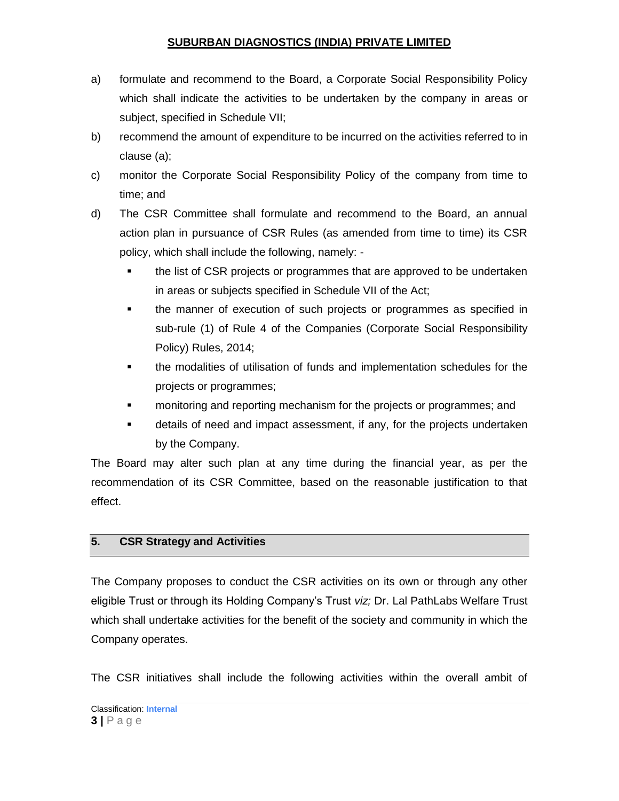- a) formulate and recommend to the Board, a Corporate Social Responsibility Policy which shall indicate the activities to be undertaken by the company in areas or subject, specified in [Schedule VII;](http://ebook.mca.gov.in/Actpagedisplay.aspx?PAGENAME=17923)
- b) recommend the amount of expenditure to be incurred on the activities referred to in clause (a);
- c) monitor the Corporate Social Responsibility Policy of the company from time to time; and
- d) The CSR Committee shall formulate and recommend to the Board, an annual action plan in pursuance of CSR Rules (as amended from time to time) its CSR policy, which shall include the following, namely:
	- the list of CSR projects or programmes that are approved to be undertaken in areas or subjects specified in Schedule VII of the Act;
	- the manner of execution of such projects or programmes as specified in sub-rule (1) of Rule 4 of the Companies (Corporate Social Responsibility Policy) Rules, 2014;
	- **the modalities of utilisation of funds and implementation schedules for the** projects or programmes;
	- monitoring and reporting mechanism for the projects or programmes; and
	- details of need and impact assessment, if any, for the projects undertaken by the Company.

The Board may alter such plan at any time during the financial year, as per the recommendation of its CSR Committee, based on the reasonable justification to that effect.

# **5. CSR Strategy and Activities**

The Company proposes to conduct the CSR activities on its own or through any other eligible Trust or through its Holding Company"s Trust *viz;* Dr. Lal PathLabs Welfare Trust which shall undertake activities for the benefit of the society and community in which the Company operates.

The CSR initiatives shall include the following activities within the overall ambit of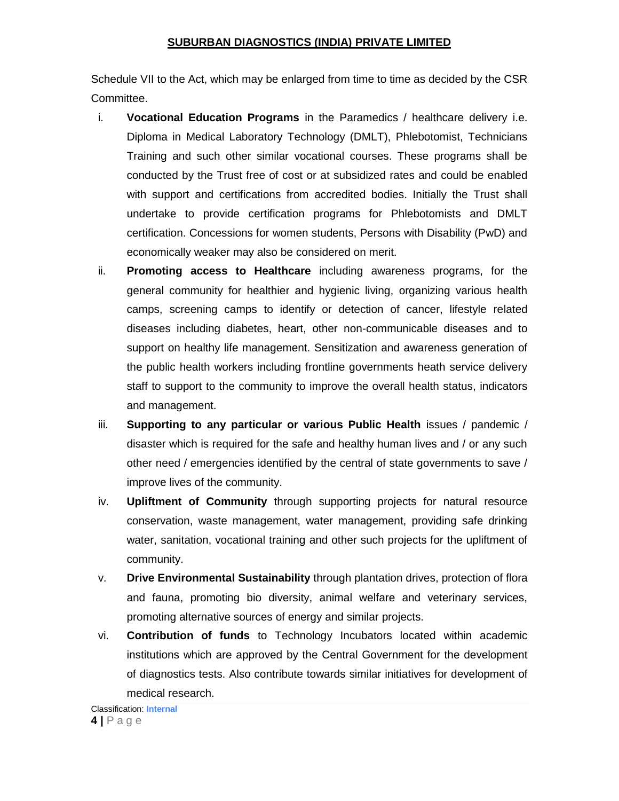Schedule VII to the Act, which may be enlarged from time to time as decided by the CSR Committee.

- i. **Vocational Education Programs** in the Paramedics / healthcare delivery i.e. Diploma in Medical Laboratory Technology (DMLT), Phlebotomist, Technicians Training and such other similar vocational courses. These programs shall be conducted by the Trust free of cost or at subsidized rates and could be enabled with support and certifications from accredited bodies. Initially the Trust shall undertake to provide certification programs for Phlebotomists and DMLT certification. Concessions for women students, Persons with Disability (PwD) and economically weaker may also be considered on merit.
- ii. **Promoting access to Healthcare** including awareness programs, for the general community for healthier and hygienic living, organizing various health camps, screening camps to identify or detection of cancer, lifestyle related diseases including diabetes, heart, other non-communicable diseases and to support on healthy life management. Sensitization and awareness generation of the public health workers including frontline governments heath service delivery staff to support to the community to improve the overall health status, indicators and management.
- iii. **Supporting to any particular or various Public Health** issues / pandemic / disaster which is required for the safe and healthy human lives and / or any such other need / emergencies identified by the central of state governments to save / improve lives of the community.
- iv. **Upliftment of Community** through supporting projects for natural resource conservation, waste management, water management, providing safe drinking water, sanitation, vocational training and other such projects for the upliftment of community.
- v. **Drive Environmental Sustainability** through plantation drives, protection of flora and fauna, promoting bio diversity, animal welfare and veterinary services, promoting alternative sources of energy and similar projects.
- vi. **Contribution of funds** to Technology Incubators located within academic institutions which are approved by the Central Government for the development of diagnostics tests. Also contribute towards similar initiatives for development of medical research.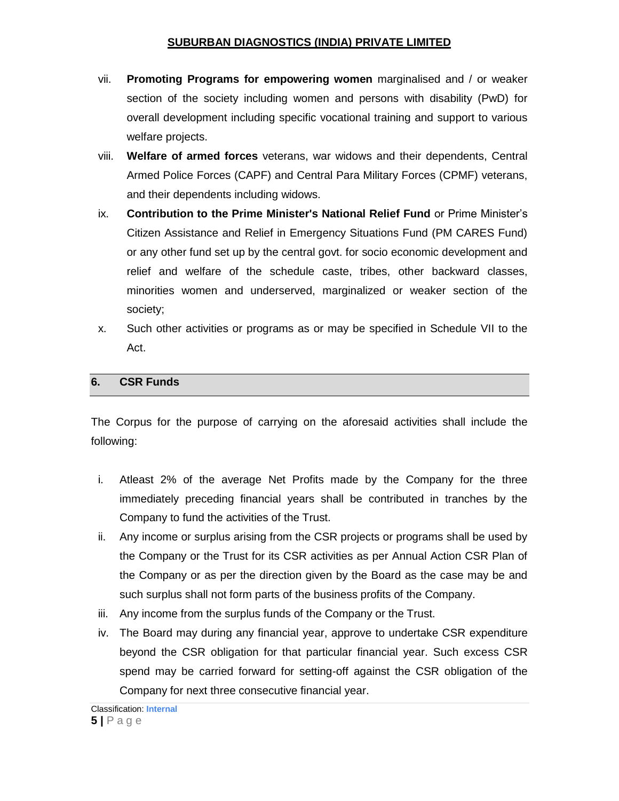- vii. **Promoting Programs for empowering women** marginalised and / or weaker section of the society including women and persons with disability (PwD) for overall development including specific vocational training and support to various welfare projects.
- viii. **Welfare of armed forces** veterans, war widows and their dependents, Central Armed Police Forces (CAPF) and Central Para Military Forces (CPMF) veterans, and their dependents including widows.
- ix. **Contribution to the Prime Minister's National Relief Fund** or Prime Minister"s Citizen Assistance and Relief in Emergency Situations Fund (PM CARES Fund) or any other fund set up by the central govt. for socio economic development and relief and welfare of the schedule caste, tribes, other backward classes, minorities women and underserved, marginalized or weaker section of the society;
- x. Such other activities or programs as or may be specified in Schedule VII to the Act.

## **6. CSR Funds**

The Corpus for the purpose of carrying on the aforesaid activities shall include the following:

- i. Atleast 2% of the average Net Profits made by the Company for the three immediately preceding financial years shall be contributed in tranches by the Company to fund the activities of the Trust.
- ii. Any income or surplus arising from the CSR projects or programs shall be used by the Company or the Trust for its CSR activities as per Annual Action CSR Plan of the Company or as per the direction given by the Board as the case may be and such surplus shall not form parts of the business profits of the Company.
- iii. Any income from the surplus funds of the Company or the Trust.
- iv. The Board may during any financial year, approve to undertake CSR expenditure beyond the CSR obligation for that particular financial year. Such excess CSR spend may be carried forward for setting-off against the CSR obligation of the Company for next three consecutive financial year.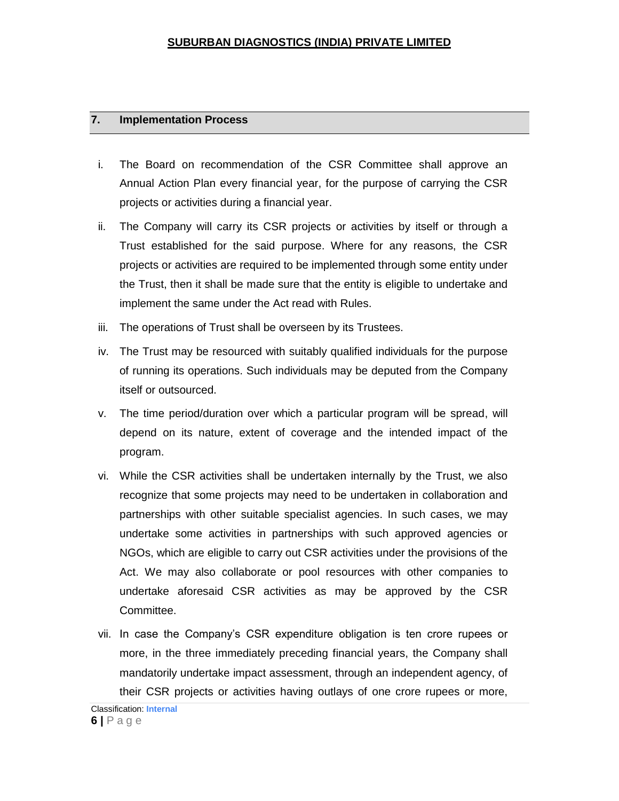#### **7. Implementation Process**

- i. The Board on recommendation of the CSR Committee shall approve an Annual Action Plan every financial year, for the purpose of carrying the CSR projects or activities during a financial year.
- ii. The Company will carry its CSR projects or activities by itself or through a Trust established for the said purpose. Where for any reasons, the CSR projects or activities are required to be implemented through some entity under the Trust, then it shall be made sure that the entity is eligible to undertake and implement the same under the Act read with Rules.
- iii. The operations of Trust shall be overseen by its Trustees.
- iv. The Trust may be resourced with suitably qualified individuals for the purpose of running its operations. Such individuals may be deputed from the Company itself or outsourced.
- v. The time period/duration over which a particular program will be spread, will depend on its nature, extent of coverage and the intended impact of the program.
- vi. While the CSR activities shall be undertaken internally by the Trust, we also recognize that some projects may need to be undertaken in collaboration and partnerships with other suitable specialist agencies. In such cases, we may undertake some activities in partnerships with such approved agencies or NGOs, which are eligible to carry out CSR activities under the provisions of the Act. We may also collaborate or pool resources with other companies to undertake aforesaid CSR activities as may be approved by the CSR Committee.
- vii. In case the Company"s CSR expenditure obligation is ten crore rupees or more, in the three immediately preceding financial years, the Company shall mandatorily undertake impact assessment, through an independent agency, of their CSR projects or activities having outlays of one crore rupees or more,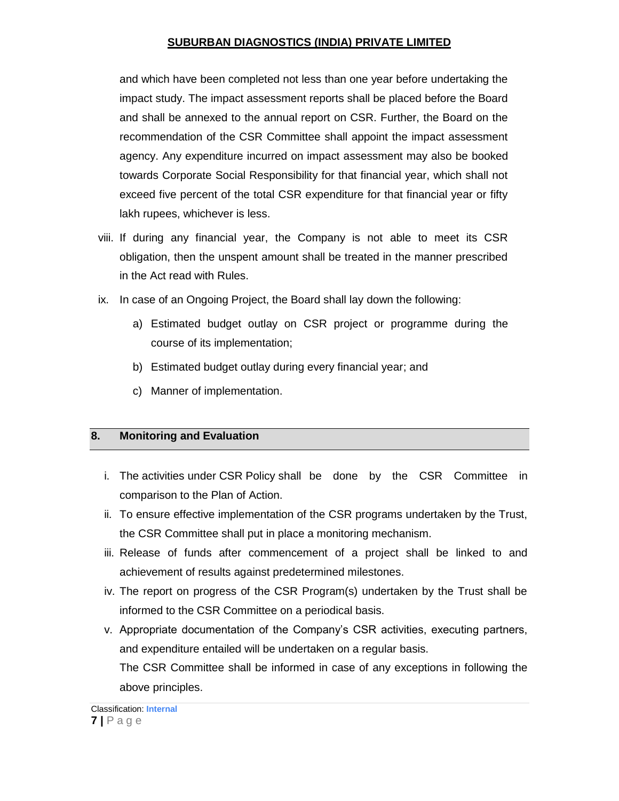and which have been completed not less than one year before undertaking the impact study. The impact assessment reports shall be placed before the Board and shall be annexed to the annual report on CSR. Further, the Board on the recommendation of the CSR Committee shall appoint the impact assessment agency. Any expenditure incurred on impact assessment may also be booked towards Corporate Social Responsibility for that financial year, which shall not exceed five percent of the total CSR expenditure for that financial year or fifty lakh rupees, whichever is less.

- viii. If during any financial year, the Company is not able to meet its CSR obligation, then the unspent amount shall be treated in the manner prescribed in the Act read with Rules.
- ix. In case of an Ongoing Project, the Board shall lay down the following:
	- a) Estimated budget outlay on CSR project or programme during the course of its implementation;
	- b) Estimated budget outlay during every financial year; and
	- c) Manner of implementation.

# **8. Monitoring and Evaluation**

- i. The activities under CSR Policy shall be done by the CSR Committee in comparison to the Plan of Action.
- ii. To ensure effective implementation of the CSR programs undertaken by the Trust, the CSR Committee shall put in place a monitoring mechanism.
- iii. Release of funds after commencement of a project shall be linked to and achievement of results against predetermined milestones.
- iv. The report on progress of the CSR Program(s) undertaken by the Trust shall be informed to the CSR Committee on a periodical basis.
- v. Appropriate documentation of the Company"s CSR activities, executing partners, and expenditure entailed will be undertaken on a regular basis. The CSR Committee shall be informed in case of any exceptions in following the above principles.